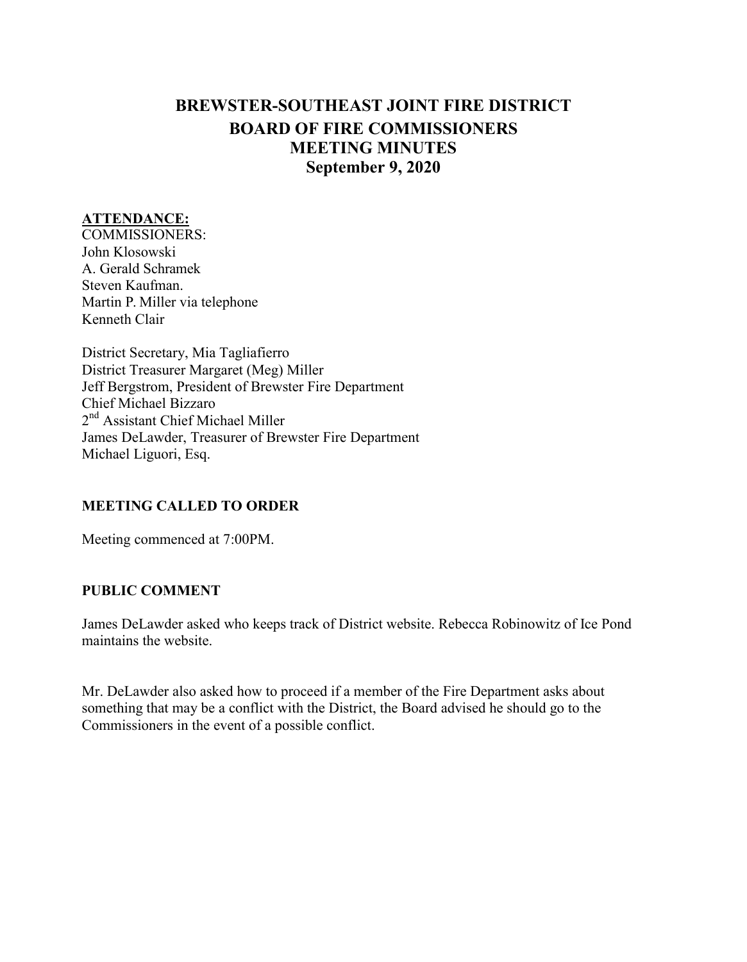## **BREWSTER-SOUTHEAST JOINT FIRE DISTRICT BOARD OF FIRE COMMISSIONERS MEETING MINUTES September 9, 2020**

#### **ATTENDANCE:**

COMMISSIONERS: John Klosowski A. Gerald Schramek Steven Kaufman. Martin P. Miller via telephone Kenneth Clair

District Secretary, Mia Tagliafierro District Treasurer Margaret (Meg) Miller Jeff Bergstrom, President of Brewster Fire Department Chief Michael Bizzaro 2<sup>nd</sup> Assistant Chief Michael Miller James DeLawder, Treasurer of Brewster Fire Department Michael Liguori, Esq.

## **MEETING CALLED TO ORDER**

Meeting commenced at 7:00PM.

#### **PUBLIC COMMENT**

James DeLawder asked who keeps track of District website. Rebecca Robinowitz of Ice Pond maintains the website.

Mr. DeLawder also asked how to proceed if a member of the Fire Department asks about something that may be a conflict with the District, the Board advised he should go to the Commissioners in the event of a possible conflict.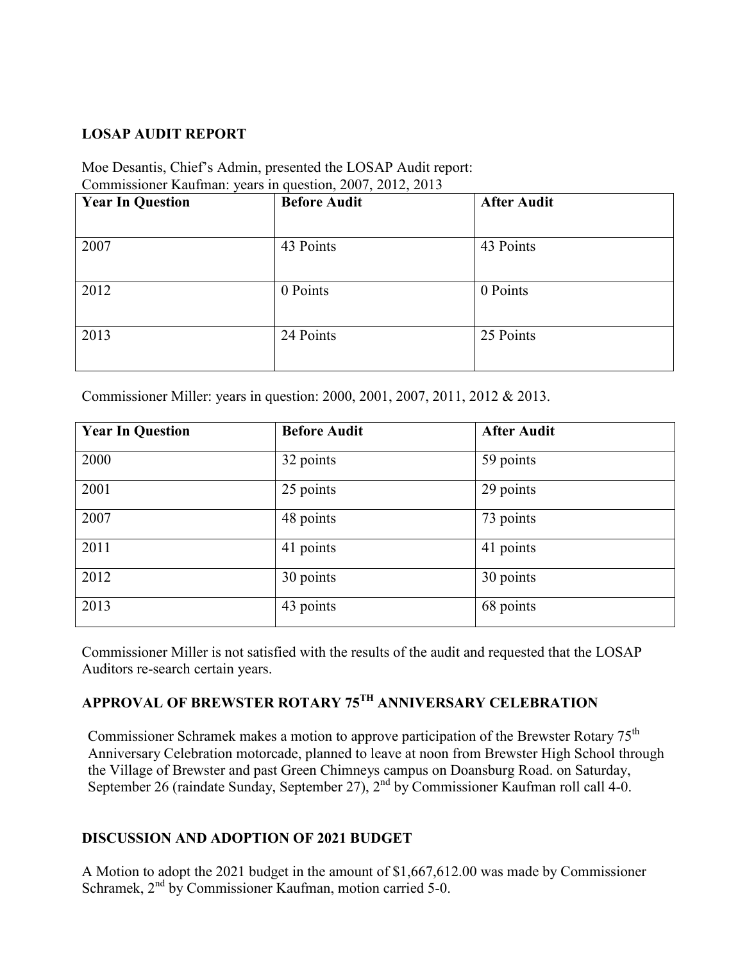## **LOSAP AUDIT REPORT**

### Moe Desantis, Chief's Admin, presented the LOSAP Audit report: Commissioner Kaufman: years in question, 2007, 2012, 2013

| <b>Year In Question</b> | <b>Before Audit</b> | <b>After Audit</b> |
|-------------------------|---------------------|--------------------|
|                         |                     |                    |
| 2007                    | 43 Points           | 43 Points          |
|                         |                     |                    |
| 2012                    | 0 Points            | 0 Points           |
|                         |                     |                    |
| 2013                    | 24 Points           | 25 Points          |
|                         |                     |                    |

Commissioner Miller: years in question: 2000, 2001, 2007, 2011, 2012 & 2013.

| <b>Year In Question</b> | <b>Before Audit</b> | <b>After Audit</b> |  |
|-------------------------|---------------------|--------------------|--|
| 2000                    | 32 points           | 59 points          |  |
| 2001                    | 25 points           | 29 points          |  |
| 2007                    | 48 points           | 73 points          |  |
| 2011                    | 41 points           | 41 points          |  |
| 2012                    | 30 points           | 30 points          |  |
| 2013                    | 43 points           | 68 points          |  |

Commissioner Miller is not satisfied with the results of the audit and requested that the LOSAP Auditors re-search certain years.

# **APPROVAL OF BREWSTER ROTARY 75TH ANNIVERSARY CELEBRATION**

Commissioner Schramek makes a motion to approve participation of the Brewster Rotary 75<sup>th</sup> Anniversary Celebration motorcade, planned to leave at noon from Brewster High School through the Village of Brewster and past Green Chimneys campus on Doansburg Road. on Saturday, September 26 (raindate Sunday, September 27),  $2^{nd}$  by Commissioner Kaufman roll call 4-0.

## **DISCUSSION AND ADOPTION OF 2021 BUDGET**

A Motion to adopt the 2021 budget in the amount of \$1,667,612.00 was made by Commissioner Schramek, 2<sup>nd</sup> by Commissioner Kaufman, motion carried 5-0.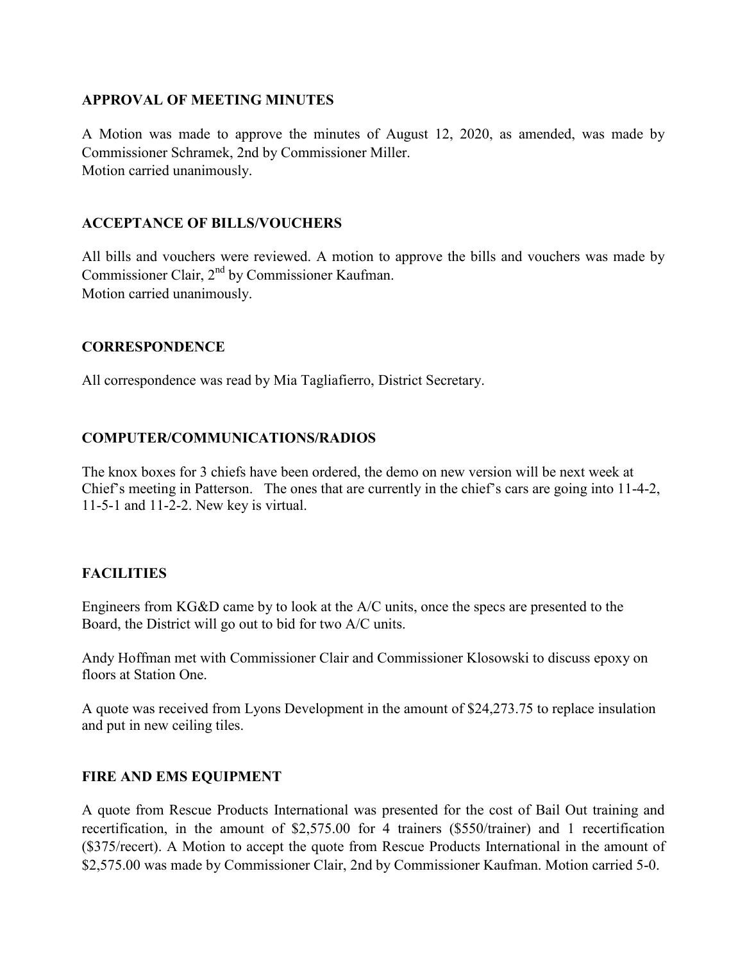#### **APPROVAL OF MEETING MINUTES**

A Motion was made to approve the minutes of August 12, 2020, as amended, was made by Commissioner Schramek, 2nd by Commissioner Miller. Motion carried unanimously.

## **ACCEPTANCE OF BILLS/VOUCHERS**

All bills and vouchers were reviewed. A motion to approve the bills and vouchers was made by Commissioner Clair,  $2<sup>nd</sup>$  by Commissioner Kaufman. Motion carried unanimously.

#### **CORRESPONDENCE**

All correspondence was read by Mia Tagliafierro, District Secretary.

## **COMPUTER/COMMUNICATIONS/RADIOS**

The knox boxes for 3 chiefs have been ordered, the demo on new version will be next week at Chief's meeting in Patterson. The ones that are currently in the chief's cars are going into 11-4-2, 11-5-1 and 11-2-2. New key is virtual.

## **FACILITIES**

Engineers from KG&D came by to look at the A/C units, once the specs are presented to the Board, the District will go out to bid for two A/C units.

Andy Hoffman met with Commissioner Clair and Commissioner Klosowski to discuss epoxy on floors at Station One.

A quote was received from Lyons Development in the amount of \$24,273.75 to replace insulation and put in new ceiling tiles.

## **FIRE AND EMS EQUIPMENT**

A quote from Rescue Products International was presented for the cost of Bail Out training and recertification, in the amount of \$2,575.00 for 4 trainers (\$550/trainer) and 1 recertification (\$375/recert). A Motion to accept the quote from Rescue Products International in the amount of \$2,575.00 was made by Commissioner Clair, 2nd by Commissioner Kaufman. Motion carried 5-0.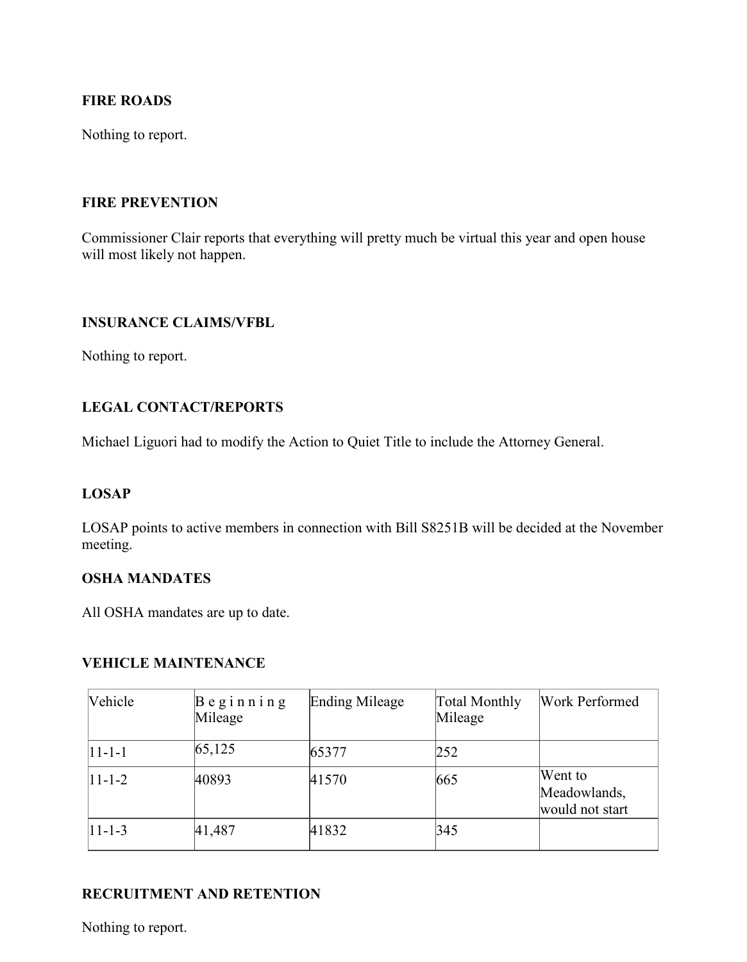## **FIRE ROADS**

Nothing to report.

#### **FIRE PREVENTION**

Commissioner Clair reports that everything will pretty much be virtual this year and open house will most likely not happen.

#### **INSURANCE CLAIMS/VFBL**

Nothing to report.

## **LEGAL CONTACT/REPORTS**

Michael Liguori had to modify the Action to Quiet Title to include the Attorney General.

#### **LOSAP**

LOSAP points to active members in connection with Bill S8251B will be decided at the November meeting.

## **OSHA MANDATES**

All OSHA mandates are up to date.

#### **VEHICLE MAINTENANCE**

| <b>Vehicle</b> | $B$ eginning<br>Mileage | <b>Ending Mileage</b> | Total Monthly<br>Mileage | Work Performed                             |
|----------------|-------------------------|-----------------------|--------------------------|--------------------------------------------|
| $ 11-1-1 $     | 65, 125                 | 65377                 | 252                      |                                            |
| $ 11-1-2 $     | 40893                   | 41570                 | 665                      | Went to<br>Meadowlands,<br>would not start |
| $ 11-1-3 $     | 41,487                  | 41832                 | 345                      |                                            |

## **RECRUITMENT AND RETENTION**

Nothing to report.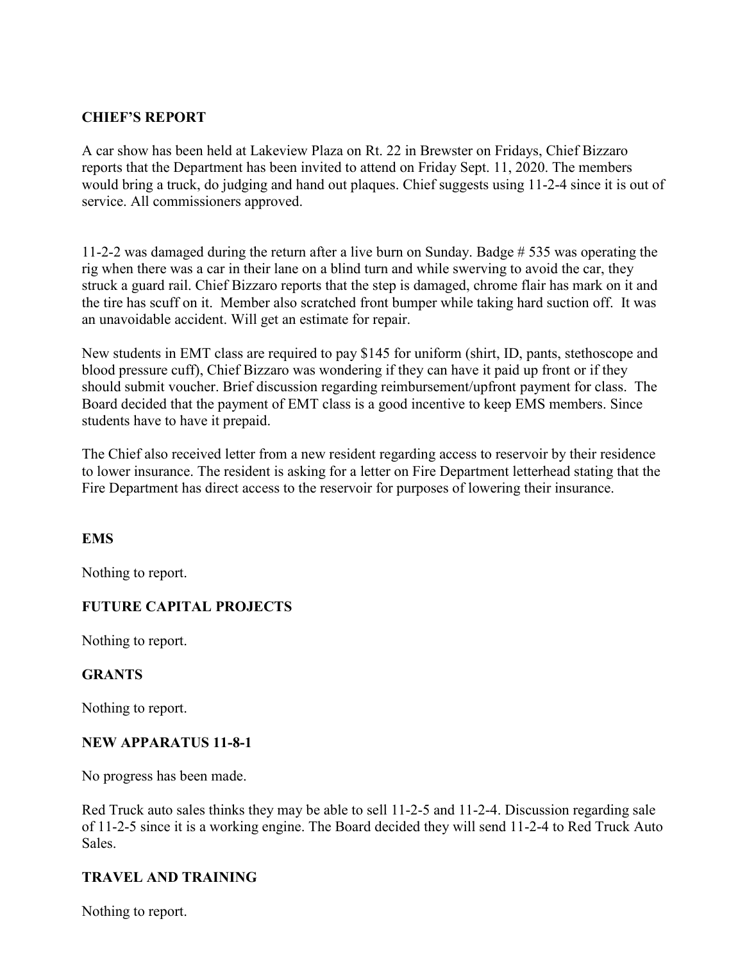## **CHIEF'S REPORT**

A car show has been held at Lakeview Plaza on Rt. 22 in Brewster on Fridays, Chief Bizzaro reports that the Department has been invited to attend on Friday Sept. 11, 2020. The members would bring a truck, do judging and hand out plaques. Chief suggests using 11-2-4 since it is out of service. All commissioners approved.

11-2-2 was damaged during the return after a live burn on Sunday. Badge # 535 was operating the rig when there was a car in their lane on a blind turn and while swerving to avoid the car, they struck a guard rail. Chief Bizzaro reports that the step is damaged, chrome flair has mark on it and the tire has scuff on it. Member also scratched front bumper while taking hard suction off. It was an unavoidable accident. Will get an estimate for repair.

New students in EMT class are required to pay \$145 for uniform (shirt, ID, pants, stethoscope and blood pressure cuff), Chief Bizzaro was wondering if they can have it paid up front or if they should submit voucher. Brief discussion regarding reimbursement/upfront payment for class. The Board decided that the payment of EMT class is a good incentive to keep EMS members. Since students have to have it prepaid.

The Chief also received letter from a new resident regarding access to reservoir by their residence to lower insurance. The resident is asking for a letter on Fire Department letterhead stating that the Fire Department has direct access to the reservoir for purposes of lowering their insurance.

## **EMS**

Nothing to report.

## **FUTURE CAPITAL PROJECTS**

Nothing to report.

## **GRANTS**

Nothing to report.

#### **NEW APPARATUS 11-8-1**

No progress has been made.

Red Truck auto sales thinks they may be able to sell 11-2-5 and 11-2-4. Discussion regarding sale of 11-2-5 since it is a working engine. The Board decided they will send 11-2-4 to Red Truck Auto Sales.

## **TRAVEL AND TRAINING**

Nothing to report.